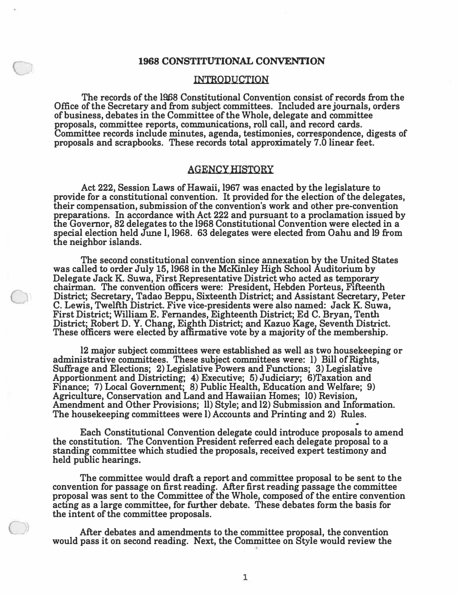#### INTRODUCTION

**The records of the 1968 Constitutional Convention consist of records from the Office of the Secretary and from subject committees. Included are journals, orders of business, debates in the Committee of the Whole, delegate and committee proposals, committee reports, communications, roll call, and record cards. Committee records include minutes, agenda, testimonies, correspondence, digests of proposals and scrapbooks. These records total approximately 7 .0 linear feet.** 

#### **AGENCY HISTORY**

**Act 222, Session Laws of Hawaii, 1967 was enacted by the legislature to provide for a constitutional convention. It provided for the election of the delegates, their compensation, submission of the convention's work and other pre•convention preparations. In accordance with Act 222 and pursuant to a proclamation issued by the Governor, 82 delegates to the 1968 Constitutional Convention were elected in a special election held June I, 1968. 63 delegates were elected from Oahu and 19 from the neighbor islands.** 

**The second constitutional convention since annexation by the United States was called to order July 15, 1968 in the McKinley High School Auditorium by Delegate Jack K. Suwa, First Representative District who acted as temporary chairman. The convention officers were: President, Hebden Porteus, Fifteenth District; Secretary, Tadao Beppu, Sixteenth District; and Assistant Secretary, Peter C. Lewis, Twelfth District. Five vice.presidents were also named: Jack K. Suwa, First District; William E. Fernandes, Eighteenth District; Ed C. Bryan, Tenth District; Robert D. Y. Chang, Eighth District; and Kazuo Kage, Seventh District. These officers were elected by affirmative vote by a majority of the membership.** 

**12 major subject committees were established as well as two housekeeping or administrative committees. These subject committees were: I) Bill of Rights, Suffrage and Elections; 2) Legislative Powers and Functions; 3) Legislative Apportionment and Districting; 4) Executive; 5) Judiciary; 6)Taxation and Finance; 7) Local Government; 8) Public Health, Education and Welfare; 9) Agriculture, Conservation and Land and Hawaiian Homes; 10) Revision, Amendment and Other Provisions; 11) Style; and 12) Submission and Information. The housekeeping committees were I) Accounts and Printing and 2) Rules.** 

**Each Constitutional Convention delegate could introduce proposals to amend the constitution. The Convention President referred each delegate proposal to a standing committee which studied the proposals, received expert testimony and held public hearings.** 

**The committee would draft a report and committee proposal to be sent to the convention for passage on first reading. After first reading passage the committee proposal was sent to the Committee of the Whole, composed of the entire convention acting as a large committee, for further debate. These debates form the basis for the intent of the committee proposals.** 

**After debates and amendments to the committee proposal, the convention would pass it on second reading. Next, the Committee on Style would review the** 

)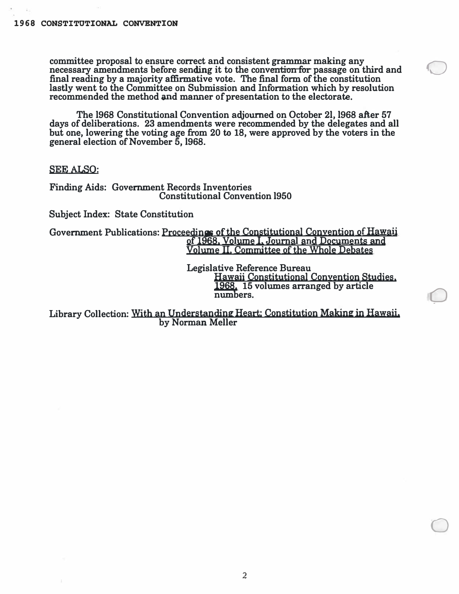**committee proposal to ensure correct and consistent grammar making any**  necessary amendments before sending it to the convention for passage on third and final reading by a majority affirmative vote. The final form of the constitution **lastly went to the Committee on Submission and Information which by resolution**  recommended the method and manner of presentation to the electorate.

**The 1968 Constitutional Convention adjourned on October 21, 1968 after 57 days of deliberations. 23 amendments were recommended by the delegates and all but one, lowering the voting age from 20 to 18, were approved by the voters in the general election of November 5, 1968.** 

**SEE ALSO:** 

**Finding Aids: Government Records Inventories Constitutional Convention 1950** 

**Subject Index: State Constitution** 

**Government Publications: Proceedine; of the Constitutional Convention of Hawaii of 1968. 'Volume I, Journal and Documents and Volume** II, **Committee of the Whole Debates** 

> **Legislative Reference Bureau Hawaii Constitutional Convention Studies, 1968. 15 volumes arranged by article numbers.**

 $\bigcirc$ 

0

Library Collection: With an Understanding Heart: Constitution Making in Hawaii. **by Norman Meller**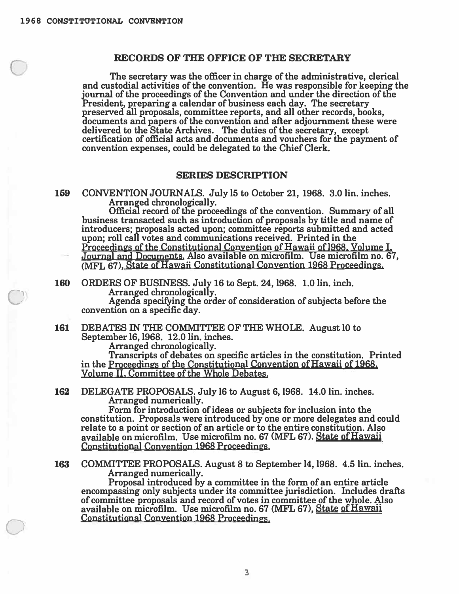C

0

### **RECORDS OF THE OFFICE OF THE SECRETARY**

**The secretary was the officer in charge of the administrative, clerical and custodial activities of the convention. He was responsible for keeping the journal of the proceedings of the Convention and under the direction of the President, preparing a calendar of business each day. The secretary preserved all proposals, committee reports, and all other records, books, documents and papers of the convention and after adjournment these were delivered to the State Archives. The duties of the secretary, except certification of official acts and documents and vouchers for the payment of convention expenses, could be delegated to the Chief Clerk.** 

#### **SERIES DESCRIPTION**

**159 CONVENTION JOURNALS. July 15 to October 21, 1968. 3.0 lin. inches. Arranged chronologically.** 

**Official record of the proceedings of the convention. Summary of all business transacted such as introduction of proposals by title and name of**  introducers; proposals acted upon; committee reports submitted and acted **upon; roll call votes and communications received. Printed in the Proceedines of the Constitutional Convention of Hawaii ofl968. Volume** I,

**Journal** and **Documents. Also available on microfilm. Use microfilm no. 67, (MFL 67), State of Hawaii Constitutional Convention 1968 Proceedines,** 

**160 ORDERS OF BUSINESS. July 16 to Sept. 24, 1968. 1.0 lin. inch. Arranged chronologically.** 

**Agenda specifying the order of consideration of subjects before the convention on a specific day.** 

**161 DEBATES IN THE COMMITTEE OF THE WHOLE. August 10 to September 16, 1968. 12.0 lin. inches.** 

**Arranged chronologically.** 

**Transcripts of debates on specific articles in the constitution. Printed in the Proceedines of the Constitutional Convention of Hawaii of 1968. Volume** II, **Committee of the Whole Debates,** 

**162 DELEGATE PROPOSALS. July 16 to August 6, 1968. 14.0 lin. inches. Arranged numerically.** 

**Form for introduction of ideas or subjects for inclusion into the constitution. Proposals were introduced by one or more delegates and could relate to a point or section of an article or to the entire constitution. Also available on microfilm. Use microfilm no. 67 {MFL 67). State of Hawaii Constitutional Convention 1968 Proceedings.** 

**163 COMMITTEE PROPOSALS. August 8 to September 14, 1968. 4.5 lin. inches. Arranged numerically.** 

**Proposal introduced by a committee in the form of an entire article encompassing only subjects under its committee jurisdiction. Includes drafts of committee proposals and record of votes in committee of the whole. Also available on microfilm. Use microfilm no. 67 (MFL 67), State** of Hawaii **Constitutional Convention 1968 Proceedings.**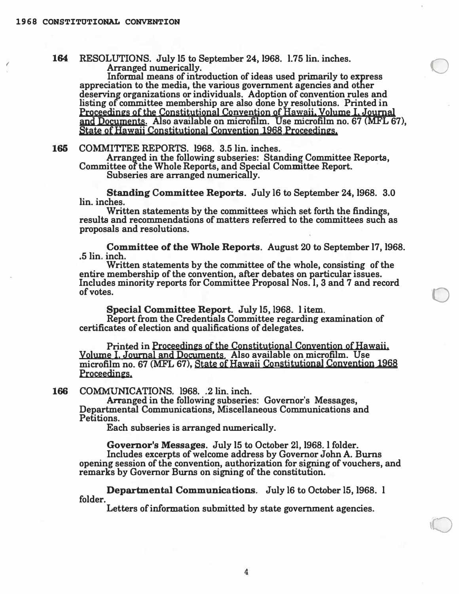*(* 

**164 RESOLUTIONS. July 15 to September 24, 1968. 1.75 lin. inches. Arranged numerically.** 

**Informal means of introduction of ideas used primarily to express appreciation to the media, the various government agencies and other deserving organizations or individuals. Adoption of convention rules and listing of committee membership are also done by resolutions. Printed in Proceedin�s of the Constitutional Convention of** Hawaii, **Volume** I. **Journal**  and **Documents. Also available on microfilm. Use microfilm no. 67 (MFL 67), State of Hawaii Constitutional Convention 1968 Proceedin�s.** 

 $\bigcirc$ 

0

**165 COMMITrEE REPORTS. 1968. 3.5 lin. inches.** 

**Arranged in the following subseries: Standing Committee Reports, Committee of the Whole Reports, and Special Committee Report.** 

**Subseries are arranged numerically.** 

**Standing Committee Reports. July 16 to September 24, 1968. 3.0 lin. inches.** 

**Written statements by the committees which set forth the findings, results and recommendations of matters referred to the committees such as proposals and resolutions.** 

**Committee of the Whole Reports. August 20 to September 17, 1968 . • 5 lin. inch.** 

**Written statements by the committee of the whole, consisting of the entire membership of the convention, after debates on particular issues. Includes minority reports for Committee Proposal Nos. I, 3 and 7 and record of votes.** 

**Special Committee Report. July 15, 1968. 1 item.** 

**Report from the Credentials Committee regarding examination of certificates of election and qualifications of delegates.** 

**Printed in Proceedin�s of the Constitutional Convention of Hawaii, Volume** I, **Journal** and **Documents. Also available on microfilm. Use microfilm no. 67 (MFL 67)t State of Hawaii Constitutional Convention 1968 Proceedin�s.** 

**166 COMMUNICATIONS.** 1968. .2 lin. inch.

**Arranged in the following subseries: Governor's Messages, Departmental Communications, Miscellaneous Communications and Petitions.** 

**Each subseries is arranged numerically.** 

**Governor's Messages. July 15 to October 21, 1968. l folder. Includes excerpts of welcome address by Governor John A. Burns opening session of the convention, authorization for signing of vouchers, and remarks by Governor Burns on signing of the constitution.** 

**Departmental Communications. July 16 to October 15, 1968. I folder.** 

**Letters of information submitted by state government agencies.**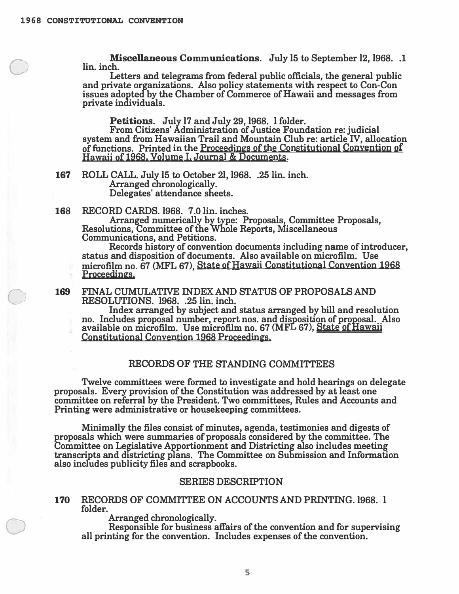*0* 

0

 $\sim$ 

D

**Miscellaneous Communications. July 15 to September 12, 1968 .. 1 lin. inch.** 

**Letters and telegrams from federal public officials, the general public and private organizations. Also policy statements with respect to Con-Con issues adopted by the Chamber of Commerce of Hawaii and messages from private individuals.** 

**Petitions. July 17 and July 29, 1968. l folder.** 

**From Citizens' Administration of Justice Foundation re: judicial system and from Hawaiian Trail and Mountain Club re: article IV, allocation**  of functions. Printed in the Proceedings of the Constitutional Convention of **Hawaii** of **1968. Volume L Journal & Documents.** 

**167 ROLL CALL. July 15 to October 21, 1968. .25 lin. inch. Arranged chronologically. Delegates' attendance sheets.** 

**168 RECORD CARDS.1968. 7.0 lin. inches.** 

**Arranged numerically by type: Proposals, Committee Proposals, Resolutions, Committee of the Whole Reports, Miscellaneous Communications, and Petitions.** 

**Records history of convention documents including name of introducer, status and disposition of documents. Also available on microfilm. Use microfilm no. 67 (MFL 67), State of** Hawaii **Constitutional Convention 1968 Proceedin�s.** 

## **169 FINAL CUMULATIVE INDEX AND STATUS OF PROPOSALS AND RESOLUTIONS. 1968. .25 lin. inch.**

**Index arranged by subject and status arranged by bill and resolution no. Includes proposal number, report nos. and disposition of proposal. Also available on microfilm. Use microfilm no. 67 (MFL 67), State of Hawaii Constitutional Convention 1968 Proceedin�s.** 

# **RECORDS OF THE STANDING COMMITTEES**

**Twelve committees were formed to investigate and hold hearings on delegate proposals. Every provision of the Constitution was addressed by at least one committee on referral by the President. Two committees, Rules and Accounts and Printing were administrative or housekeeping committees.** 

**Minimally the files consist of minutes, agenda, testimonies and digests of proposals which were summaries of proposals considered by the committee. The Committee on Legislative Apportionment and Districting also includes meeting transcripts and districting plans. The Committee on Submission and Information also includes publicity files and scrapbooks.** 

## **SERIES DESCRIPTION**

**170 RECORDS OF COMMITTEE ON ACCOUNTS AND PRINTING.1968. I folder.** 

**Arranged chronologically.** 

**Responsible for business affairs of the convention and for supervising all printing for the convention. Includes expenses of the convention.**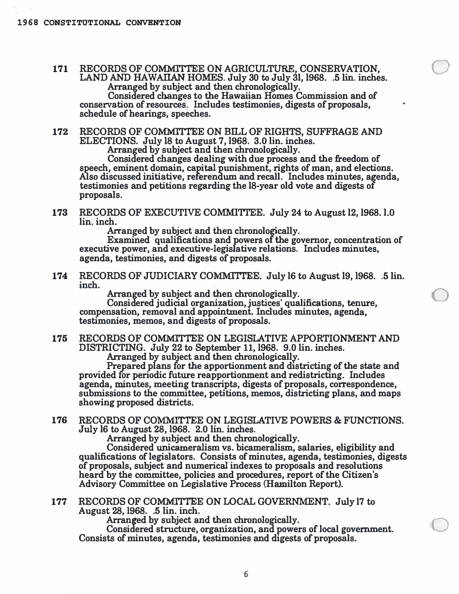**<sup>171</sup>RECORDS OF COMMITTEE ON AGRICULTURE, CONSERVATION,** 0 **LAND AND HAWAIIAN HOMES. July 30 to July 31, 1968. .5 lin. inches.**  Arranged by subject and then chronologically.

Arranged by subject and then chronologically.<br>Considered changes to the Hawaiian Homes Commission and of **conservation of resources. Includes testimonies, digests of proposals, schedule of hearings, speeches.** 

**172 RECORDS OF COMMITTEE ON BILL OF RIGHTS, SUFFRAGE AND ELECTIONS. July 18 to August 7, 1968. 3.0 lin. inches.** 

Arranged by subject and then chronologically.<br>Considered changes dealing with due process a

Considered changes dealing with due process and the freedom of speech, eminent domain, capital punishment, rights of man, and elections.<br>Also discussed initiative, referendum and recall. Includes minutes, a*g*enda Also discussed initiative, referendum and recall. Includes minutes, agenda, Also discussed initiative, referendum and recall. Includes minutes, ag<br>testimonies and petitions regarding the 18-year old vote and digests of **proposals.** 

**173** RECORDS OF EXECUTIVE COMMITTEE. July 24 to August 12, 1968. l.0 **lin. inch.** 

Arranged by subject and then chronologically.

Examined qualifications and powers of the governor, concentrations<br>executive power, and executive-legislative relations. Includes minutes, **Examined** qualifications and powers of the governor, concentration of **agenda, testimonies, and digests of proposals.** 

**174 RECORDS OF JUDICIARY COMMITTEE. July 16 to August 19, 1968. .5 lin.**  inch.<br>**2 Arranged by subject and then chronologically.**<br>**Considered judicial organization, justices' qualifications, tenure,** 

Arranged by subject and then chronologically.

**compensation, removal and appointment. Includes minutes, agenda, testimonies, memos, and digests of proposals.** 

**175 RECORDS OF COMMITTEE ON LEGISLATIVE APPORTIONMENT AND DISTRICTING. July 22 to September 11, 1968. 9.0 lin. inches.** 

**Arranged by subject and then chronologically.** 

**Prepared plans for the apportionment and districting of the state and provided for periodic future reapportionment and redistricting. Includes agenda, minutes, meeting transcripts, digests of proposals, correspondence, submissions to the committee, petitions, memos, districting plans, and maps showing proposed districts.** 

**176 RECORDS OF COMMITrEE ON LEGISLATIVE POWERS & FUNCTIONS. July 16 to August 28, 1968. 2.0 lin. inches.** 

Arranged by subject and then chronologically.<br>Considered unicameralism vs. bicameralism. s

**Consi ered unicameralism vs. bicameralism, salaries, eligibility and qualifications of legislators. Consists of minutes, agenda, testimonies, digests of proposals, subject and numerical indexes to proposals and resolutions heard by the committee, policies and procedures, report of the Citizen's Advisory Committee on Legislative Process (Hamilton Report).** 

**177 RECORDS OF COMMITTEE ON LOCAL GOVERNMENT. July 17 to August 28, 1968. .5 lin. inch.** 

Arranged by subject and then chronologically.<br>Considered structure, organization, and powers of local government. **Consists of minutes, agenda, testimonies and digests of proposals.**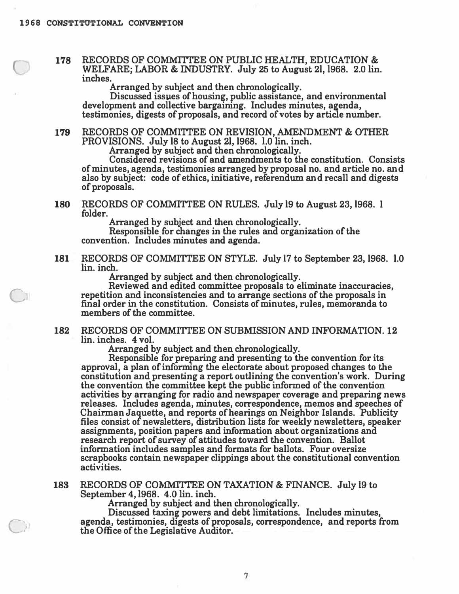C

c,

178 RECORDS OF COMMITTEE ON PUBLIC HEALTH, EDUCATION & **WELFARE; LABOR** & **INDUSTRY. July 25 to August** 21, 1968. 2.0 **lin. inches.** 

**Arranged by subject and then chronologically.** 

Discussed issues of housing, public assistance, and environmental **development and collective bargaining. Includes minutes, agenda, testimonies, digests of proposals, and record of votes by article number.** 

179 RECORDS OF COMMITTEE ON REVISION, AMENDMENT & OTHER **PROVISIONS. July** 18 **to August** 21, 1968. **1.0 lin. inch.** 

**Arranged by subject and then chronologically.** 

**Considered revisions of and amendments to the constitution. Consists of minutes, agenda, testimonies arranged by proposal no. and article no. and also by subject: code of ethics, initiative, referendum and recall and digests of proposals.** 

**180 RECORDS OF COMMI'ITEE ON RULES. July** 19 **to August 23,** 1968. I **folder.** 

**Arranged by subject and then chronologically.** 

**Responsible for changes in the rules and organization of the convention. Includes minutes and agenda.** 

**181 RECORDS OF COMMITTEE ON STYLE. July 17 to September 23,** 1968. **1.0 lin. inch.** 

**Arranged by subject and then chronologically.** 

**Reviewed and edited committee proposals to eliminate inaccuracies, repetition and inconsistencies and to arrange sections of the proposals in final order in the constitution. Consists of minutes, rules, memoranda to members of the committee.** 

**182 RECORDS OF COMMITTEE ON SUBMISSION AND INFORMATION. 12 lin. inches. 4 vol.** 

**Arranged by subject and then chronologically.** 

**Responsible for preparing and presenting to the convention for its approval, a plan of informing the electorate about proposed changes to the constitution and presenting a report outlining the convention's work. During the convention the committee kept the public informed of the convention activities by arranging for radio and newspaper coverage and preparing news releases. Includes agenda, minutes, correspondence, memos and speeches of Chairman Jaquette, and reports of hearings on Neighbor Islands. Publicity files consist of newsletters, distribution lists for weekly newsletters, speaker assignments, position papers and information about organizations and research report of survey of attitudes toward the convention. Ballot information includes samples and formats for ballots. Four oversize scrapbooks contain newspaper clippings about the constitutional convention activities.** 

**183 RECORDS OF COMMITTEE ON TAXATION & FINANCE. July 19 to September 4,** 1968. **4.0 lin. inch.** 

**Arranged by subject and then chronologically.** 

**Discussed taxing powers and debt limitations. Includes minutes, agenda, testimonies, digests of proposals, correspondence, and reports from the Office of the Legislative Auditor.** 

**7**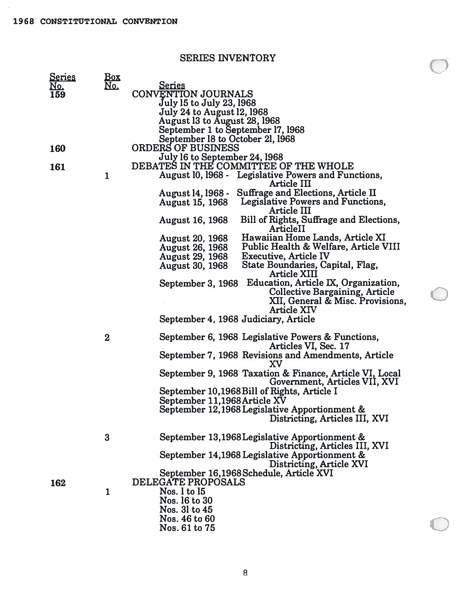**SERIES INVENTORY** 

 $\bigcirc$ 

0

0

| <u>Series</u> | Box        |                                                                                          |
|---------------|------------|------------------------------------------------------------------------------------------|
| <u>No.</u>    | <u>No.</u> | <u>Series</u>                                                                            |
| 159           |            | <b>CONVENTION JOURNALS</b>                                                               |
|               |            | July 15 to July 23, 1968                                                                 |
|               |            | <b>July 24 to August 12, 1968</b>                                                        |
|               |            | August 13 to August 28, 1968                                                             |
|               |            | September 1 to September 17, 1968                                                        |
|               |            | September 18 to October 21, 1968                                                         |
| <b>160</b>    |            | <b>ORDERS OF BUSINESS</b>                                                                |
|               |            | July 16 to September 24, 1968                                                            |
| 161           |            | DEBATES IN THE COMMITTEE OF THE WHOLE                                                    |
|               | 1          | August 10, 1968 - Legislative Powers and Functions,<br>Article III                       |
|               |            | Suffrage and Elections, Article II<br>August 14, 1968 -                                  |
|               |            | Legislative Powers and Functions,<br><b>August 15, 1968</b><br>Article III               |
|               |            | Bill of Rights, Suffrage and Elections,<br><b>August 16, 1968</b><br>ArticleII           |
|               |            | Hawaiian Home Lands, Article XI<br><b>August 20, 1968</b>                                |
|               |            | Public Health & Welfare, Article VIII<br><b>August 26, 1968</b>                          |
|               |            | <b>Executive, Article IV</b><br><b>August 29, 1968</b>                                   |
|               |            | State Boundaries, Capital, Flag,<br><b>August 30, 1968</b>                               |
|               |            | <b>Article XIII</b>                                                                      |
|               |            | Education, Article IX, Organization,<br>September 3, 1968                                |
|               |            | <b>Collective Bargaining, Article</b>                                                    |
|               |            | XII, General & Misc. Provisions,<br><b>Article XIV</b>                                   |
|               |            | September 4, 1968 Judiciary, Article                                                     |
|               | $\bf{2}$   | September 6, 1968 Legislative Powers & Functions,<br>Articles VI, Sec. 17                |
|               |            | September 7, 1968 Revisions and Amendments, Article<br>XV                                |
|               |            | September 9, 1968 Taxation & Finance, Article VI, Local<br>Government, Articles VII, XVI |
|               |            | September 10,1968 Bill of Rights, Article I                                              |
|               |            | September 11,1968 Article XV                                                             |
|               |            | September 12,1968 Legislative Apportionment &                                            |
|               |            | Districting, Articles III, XVI                                                           |
|               | $\bf{3}$   | September 13,1968 Legislative Apportionment &<br>Districting, Articles III, XVI          |
|               |            | September 14,1968 Legislative Apportionment &<br>Districting, Article XVI                |
|               |            | September 16,1968 Schedule, Article XVI                                                  |
| 162           |            | <b>DELEGATE PROPOSALS</b>                                                                |
|               | 1          | Nos. 1 to 15                                                                             |
|               |            | Nos. 16 to 30                                                                            |
|               |            | Nos. 31 to 45                                                                            |
|               |            | Nos. 46 to 60                                                                            |
|               |            | Nos. 61 to 75                                                                            |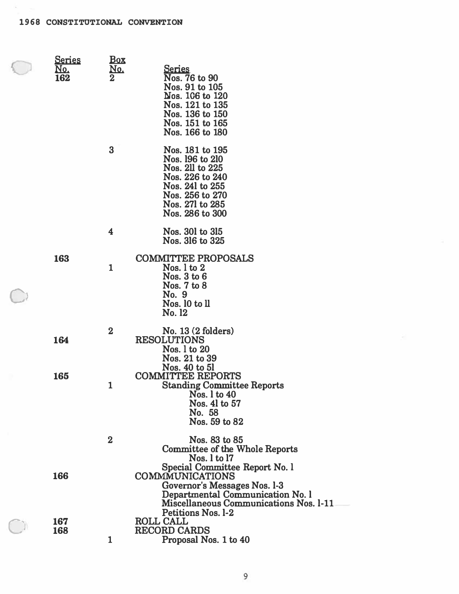| <u>Series</u><br>No.<br>162 | Box<br>No.  | <u>Series</u><br>Nos. 76 to 90<br>Nos. 91 to 105<br>Nos. 106 to 120<br>Nos. 121 to 135<br>Nos. 136 to 150<br>Nos. 151 to 165<br>Nos. 166 to 180                 |
|-----------------------------|-------------|-----------------------------------------------------------------------------------------------------------------------------------------------------------------|
|                             | $\bf{3}$    | Nos. 181 to 195<br>Nos. 196 to 210<br>Nos. 211 to 225<br>Nos. 226 to 240<br>Nos. 241 to 255<br>Nos. 256 to 270<br>Nos. 271 to 285<br>Nos. 286 to 300            |
|                             | 4           | Nos. 301 to 315<br>Nos. 316 to 325                                                                                                                              |
| 163                         | $\mathbf 1$ | <b>COMMITTEE PROPOSALS</b><br>Nos. $1$ to $2$<br>Nos. 3 to 6<br>Nos. 7 to 8<br>No. 9<br>Nos. 10 to 11<br>No. 12                                                 |
| 164                         | $\mathbf 2$ | No. 13 (2 folders)<br><b>RESOLUTIONS</b><br>Nos. 1 to 20<br>Nos. 21 to 39                                                                                       |
| 165                         | 1           | Nos. 40 to 51<br><b>COMMITTEE REPORTS</b><br><b>Standing Committee Reports</b><br>Nos. 1 to 40<br>Nos. 41 to 57<br>No. 58<br>Nos. 59 to 82                      |
|                             | $\bf{2}$    | Nos. 83 to 85<br><b>Committee of the Whole Reports</b><br>Nos. 1 to 17                                                                                          |
| 166                         |             | Special Committee Report No. 1<br>COMMMUNICATIONS<br>Governor's Messages Nos. 1-3<br>Departmental Communication No. 1<br>Miscellaneous Communications Nos. 1-11 |
| 167<br>168                  | 1           | <b>Petitions Nos. 1-2</b><br><b>ROLL CALL</b><br><b>RECORD CARDS</b><br>Proposal Nos. 1 to 40                                                                   |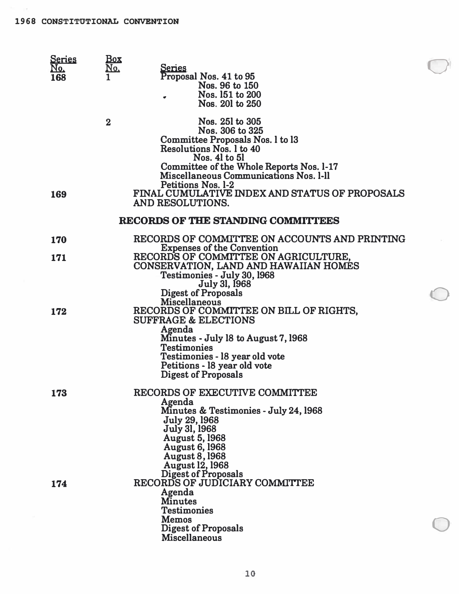| <b>Series</b><br>No. | <u>Box</u><br><u>No,</u> | <u>Series</u>                                                                                                                                                                                                                                                                             |  |
|----------------------|--------------------------|-------------------------------------------------------------------------------------------------------------------------------------------------------------------------------------------------------------------------------------------------------------------------------------------|--|
| 168                  |                          | Proposal Nos. 41 to 95<br>Nos. 96 to 150<br>Nos. 151 to 200<br>Nos. 201 to 250                                                                                                                                                                                                            |  |
|                      | $\mathbf 2$              | Nos. 251 to 305<br>Nos. 306 to 325<br>Committee Proposals Nos. 1 to 13<br>Resolutions Nos. 1 to 40<br>Nos. 41 to 51<br>Committee of the Whole Reports Nos. 1-17<br>Miscellaneous Communications Nos. 1-11<br>Petitions Nos. 1-2                                                           |  |
| 169                  |                          | FINAL CUMULATIVE INDEX AND STATUS OF PROPOSALS<br>AND RESOLUTIONS.                                                                                                                                                                                                                        |  |
|                      |                          | RECORDS OF THE STANDING COMMITTEES                                                                                                                                                                                                                                                        |  |
| <b>170</b>           |                          | RECORDS OF COMMITTEE ON ACCOUNTS AND PRINTING<br><b>Expenses of the Convention</b>                                                                                                                                                                                                        |  |
| 171                  |                          | RECORDS OF COMMITTEE ON AGRICULTURE,<br>CONSERVATION, LAND AND HAWAIIAN HOMES<br>Testimonies - July 30, 1968<br>July 31, 1968                                                                                                                                                             |  |
| 172                  |                          | <b>Digest of Proposals</b><br>Miscellaneous<br>RECORDS OF COMMITTEE ON BILL OF RIGHTS,<br><b>SUFFRAGE &amp; ELECTIONS</b><br>Agenda<br>Minutes - July 18 to August 7, 1968<br><b>Testimonies</b><br>Testimonies - 18 year old vote<br>Petitions - 18 year old vote<br>Digest of Proposals |  |
| 173                  |                          | RECORDS OF EXECUTIVE COMMITTEE<br>Agenda<br>Minutes & Testimonies - July 24, 1968<br><b>July 29, 1968</b><br>July 31, 1968<br><b>August 5, 1968</b><br><b>August 6, 1968</b><br><b>August 8, 1968</b><br><b>August 12, 1968</b>                                                           |  |
| 174                  |                          | Digest of Proposals<br>RECORDS OF JUDICIARY COMMITTEE<br>Agenda<br><b>Minutes</b><br><b>Testimonies</b><br><b>Memos</b>                                                                                                                                                                   |  |
|                      |                          | <b>Digest of Proposals</b><br>Miscellaneous                                                                                                                                                                                                                                               |  |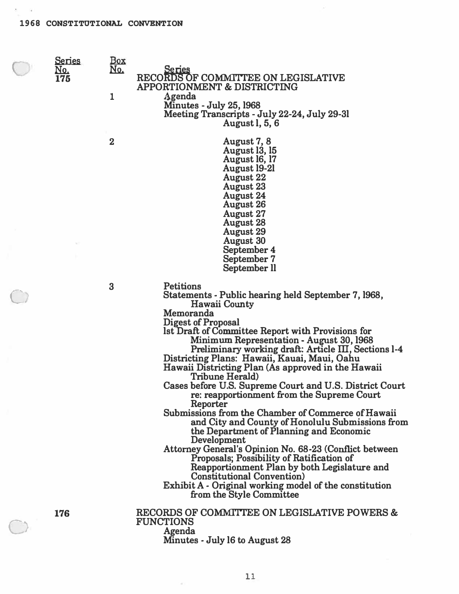$\infty$  . <br> . <br> : 50

| <u>Series</u><br>No.<br>175 | <u>Box</u><br><u>No.</u> | <u>Series</u><br>RECORDS OF COMMITTEE ON LEGISLATIVE                                                                                                                                                                                                                                                                                                                                                                                          |
|-----------------------------|--------------------------|-----------------------------------------------------------------------------------------------------------------------------------------------------------------------------------------------------------------------------------------------------------------------------------------------------------------------------------------------------------------------------------------------------------------------------------------------|
|                             | 1                        | <b>APPORTIONMENT &amp; DISTRICTING</b><br>Agenda                                                                                                                                                                                                                                                                                                                                                                                              |
|                             |                          | <b>Minutes - July 25, 1968</b><br>Meeting Transcripts - July 22-24, July 29-31                                                                                                                                                                                                                                                                                                                                                                |
|                             |                          | <b>August 1, 5, 6</b>                                                                                                                                                                                                                                                                                                                                                                                                                         |
|                             | $\mathbf 2$              | August 7, 8<br><b>August 13, 15</b><br>August 16, 17<br><b>August 19-21</b><br><b>August 22</b><br><b>August 23</b><br><b>August 24</b><br><b>August 26</b><br><b>August 27</b><br><b>August 28</b><br><b>August 29</b>                                                                                                                                                                                                                       |
|                             |                          | <b>August 30</b>                                                                                                                                                                                                                                                                                                                                                                                                                              |
|                             |                          | September 4<br>September 7                                                                                                                                                                                                                                                                                                                                                                                                                    |
|                             |                          | September II                                                                                                                                                                                                                                                                                                                                                                                                                                  |
|                             | 3                        | <b>Petitions</b><br>Statements - Public hearing held September 7, 1968,<br><b>Hawaii County</b>                                                                                                                                                                                                                                                                                                                                               |
|                             |                          | Memoranda<br><b>Digest of Proposal</b><br>lst Draft of Committee Report with Provisions for<br>Minimum Representation - August 30, 1968<br>Preliminary working draft: Article III, Sections 1-4<br>Districting Plans: Hawaii, Kauai, Maui, Oahu<br>Hawaii Districting Plan (As approved in the Hawaii<br>Tribune Herald)<br>Cases before U.S. Supreme Court and U.S. District Court<br>re: reapportionment from the Supreme Court<br>Reporter |
|                             |                          | Submissions from the Chamber of Commerce of Hawaii<br>and City and County of Honolulu Submissions from<br>the Department of Planning and Economic<br>Development                                                                                                                                                                                                                                                                              |
|                             |                          | Attorney General's Opinion No. 68-23 (Conflict between<br>Proposals; Possibility of Ratification of<br>Reapportionment Plan by both Legislature and<br><b>Constitutional Convention</b> )<br>Exhibit A - Original working model of the constitution<br>from the Style Committee                                                                                                                                                               |
| 176                         |                          | RECORDS OF COMMITTEE ON LEGISLATIVE POWERS &<br><b>FUNCTIONS</b><br>Agenda<br>Minutes - July 16 to August 28                                                                                                                                                                                                                                                                                                                                  |

 $\tilde{\mathcal{A}}$ 

 $\bar{\kappa}$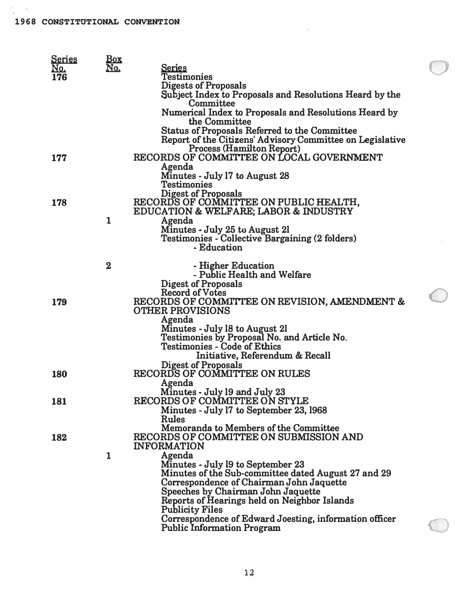$\sim$ 

| <b>Series</b> | <u>Box</u>   |                                                                         |  |
|---------------|--------------|-------------------------------------------------------------------------|--|
| No.           | No.          | <u>Series</u>                                                           |  |
| 176           |              | <b>Testimonies</b>                                                      |  |
|               |              | <b>Digests of Proposals</b>                                             |  |
|               |              | Subject Index to Proposals and Resolutions Heard by the<br>Committee    |  |
|               |              | Numerical Index to Proposals and Resolutions Heard by                   |  |
|               |              | the Committee                                                           |  |
|               |              | <b>Status of Proposals Referred to the Committee</b>                    |  |
|               |              | Report of the Citizens' Advisory Committee on Legislative               |  |
|               |              | <b>Process (Hamilton Report)</b>                                        |  |
| 177           |              | RECORDS OF COMMITTEE ON LOCAL GOVERNMENT                                |  |
|               |              | Agenda                                                                  |  |
|               |              | Minutes - July 17 to August 28                                          |  |
|               |              | <b>Testimonies</b>                                                      |  |
|               |              | Digest of Proposals<br>RECORDS OF COMMITTEE ON PUBLIC HEALTH,           |  |
| 178           |              |                                                                         |  |
|               | 1            | EDUCATION & WELFARE; LABOR & INDUSTRY<br>Agenda                         |  |
|               |              | Minutes - July 25 to August 21                                          |  |
|               |              | <b>Testimonies - Collective Bargaining (2 folders)</b>                  |  |
|               |              | - Education                                                             |  |
|               |              |                                                                         |  |
|               | $\mathbf 2$  | - Higher Education                                                      |  |
|               |              | - Public Health and Welfare                                             |  |
|               |              | <b>Digest of Proposals</b>                                              |  |
|               |              | <b>Record of Votes</b><br>RECORDS OF COMMITTEE ON REVISION, AMENDMENT & |  |
| 179           |              | <b>OTHER PROVISIONS</b>                                                 |  |
|               |              | Agenda                                                                  |  |
|               |              | Minutes - July 18 to August 21                                          |  |
|               |              | Testimonies by Proposal No. and Article No.                             |  |
|               |              | <b>Testimonies - Code of Ethics</b>                                     |  |
|               |              | Initiative, Referendum & Recall                                         |  |
|               |              | <b>Digest of Proposals</b>                                              |  |
| <b>180</b>    |              | RECORDS OF COMMITTEE ON RULES                                           |  |
|               |              | Agenda                                                                  |  |
| 181           |              | Minutes - July 19 and July 23<br>RECORDS OF COMMITTEE ON STYLE          |  |
|               |              | Minutes - July 17 to September 23, 1968                                 |  |
|               |              | Rules                                                                   |  |
|               |              | Memoranda to Members of the Committee                                   |  |
| 182           |              | RECORDS OF COMMITTEE ON SUBMISSION AND                                  |  |
|               |              | <b>INFORMATION</b>                                                      |  |
|               | $\mathbf{1}$ | Agenda                                                                  |  |
|               |              | Minutes - July 19 to September 23                                       |  |
|               |              | Minutes of the Sub-committee dated August 27 and 29                     |  |
|               |              | Correspondence of Chairman John Jaquette                                |  |
|               |              | Speeches by Chairman John Jaquette                                      |  |
|               |              | Reports of Hearings held on Neighbor Islands<br><b>Publicity Files</b>  |  |
|               |              | Correspondence of Edward Joesting, information officer                  |  |
|               |              | <b>Public Information Program</b>                                       |  |
|               |              |                                                                         |  |

 $\langle \, e \, \rangle$